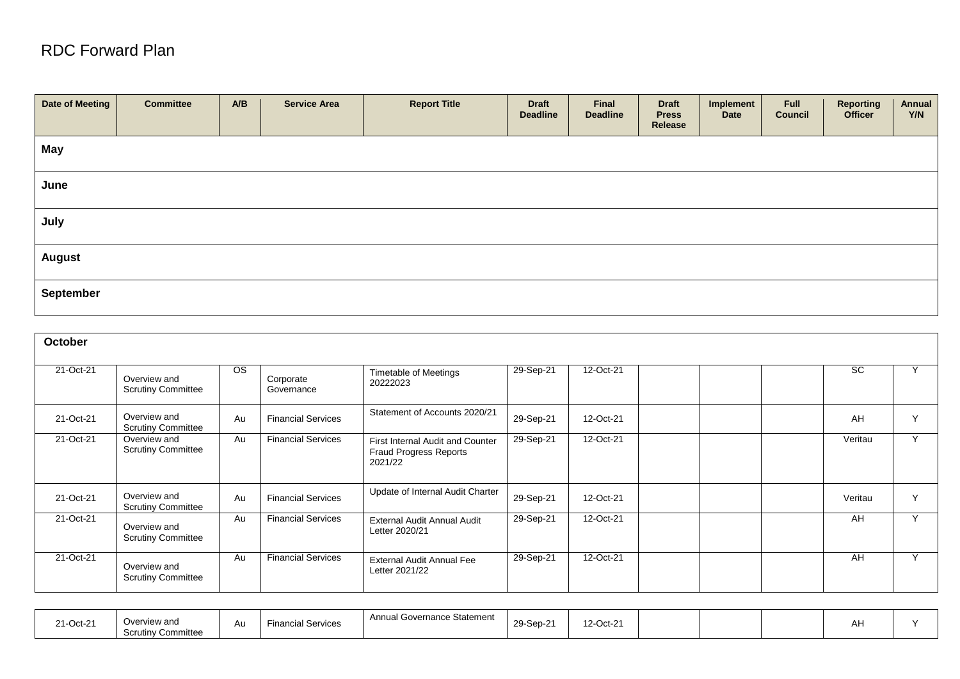## RDC Forward Plan

| Date of Meeting | <b>Committee</b> | A/B | <b>Service Area</b> | <b>Report Title</b> | <b>Draft</b><br><b>Deadline</b> | Final<br><b>Deadline</b> | <b>Draft</b><br><b>Press</b><br>Release | Implement<br>Date | Full<br><b>Council</b> | <b>Reporting</b><br><b>Officer</b> | Annual<br>Y/N |
|-----------------|------------------|-----|---------------------|---------------------|---------------------------------|--------------------------|-----------------------------------------|-------------------|------------------------|------------------------------------|---------------|
| May             |                  |     |                     |                     |                                 |                          |                                         |                   |                        |                                    |               |
| June            |                  |     |                     |                     |                                 |                          |                                         |                   |                        |                                    |               |
| July            |                  |     |                     |                     |                                 |                          |                                         |                   |                        |                                    |               |
| <b>August</b>   |                  |     |                     |                     |                                 |                          |                                         |                   |                        |                                    |               |
| September       |                  |     |                     |                     |                                 |                          |                                         |                   |                        |                                    |               |

| October   |                                           |           |                           |                                                                       |           |           |  |           |              |
|-----------|-------------------------------------------|-----------|---------------------------|-----------------------------------------------------------------------|-----------|-----------|--|-----------|--------------|
| 21-Oct-21 | Overview and<br><b>Scrutiny Committee</b> | <b>OS</b> | Corporate<br>Governance   | <b>Timetable of Meetings</b><br>20222023                              | 29-Sep-21 | 12-Oct-21 |  | <b>SC</b> |              |
| 21-Oct-21 | Overview and<br><b>Scrutiny Committee</b> | Au        | <b>Financial Services</b> | Statement of Accounts 2020/21                                         | 29-Sep-21 | 12-Oct-21 |  | AH        | $\checkmark$ |
| 21-Oct-21 | Overview and<br><b>Scrutiny Committee</b> | Au        | <b>Financial Services</b> | First Internal Audit and Counter<br>Fraud Progress Reports<br>2021/22 | 29-Sep-21 | 12-Oct-21 |  | Veritau   | $\checkmark$ |
| 21-Oct-21 | Overview and<br><b>Scrutiny Committee</b> | Au        | <b>Financial Services</b> | Update of Internal Audit Charter                                      | 29-Sep-21 | 12-Oct-21 |  | Veritau   | $\checkmark$ |
| 21-Oct-21 | Overview and<br><b>Scrutiny Committee</b> | Au        | <b>Financial Services</b> | External Audit Annual Audit<br>Letter 2020/21                         | 29-Sep-21 | 12-Oct-21 |  | AH        | $\checkmark$ |
| 21-Oct-21 | Overview and<br><b>Scrutiny Committee</b> | Au        | <b>Financial Services</b> | <b>External Audit Annual Fee</b><br>Letter 2021/22                    | 29-Sep-21 | 12-Oct-21 |  | AH        | $\sqrt{}$    |

| Annual Gc<br>Governance Statement<br>21-Oct-21<br>Overview and<br>l Services<br>Financia<br>Au<br><b>Scrutiny Committee</b> | 29-Sep-2 | 12-Oct-21 |  |  |  | nı. |  |
|-----------------------------------------------------------------------------------------------------------------------------|----------|-----------|--|--|--|-----|--|
|-----------------------------------------------------------------------------------------------------------------------------|----------|-----------|--|--|--|-----|--|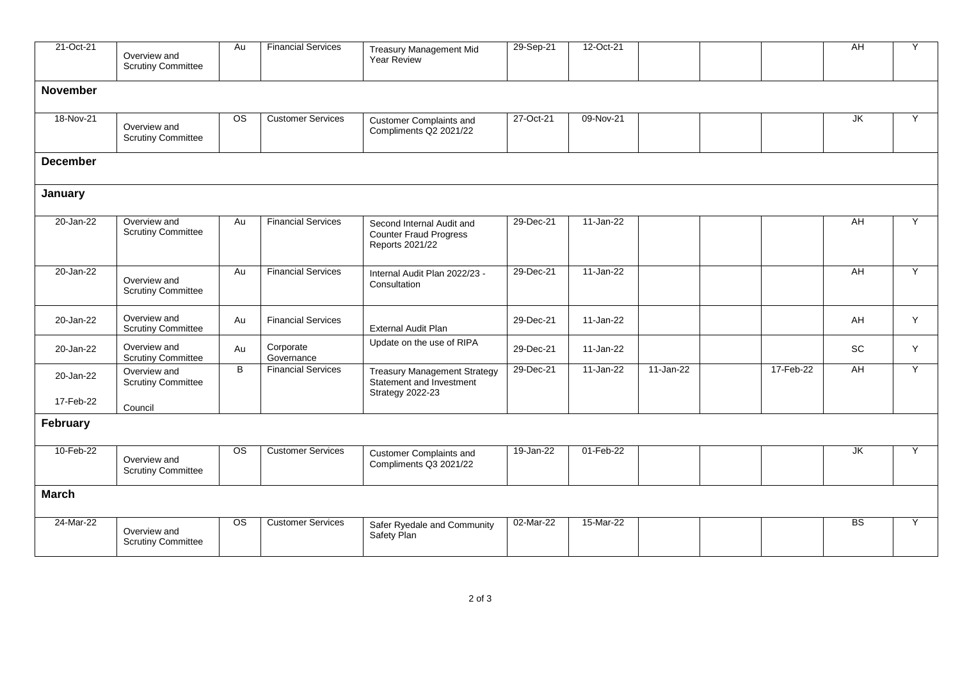| 21-Oct-21       | Overview and<br><b>Scrutiny Committee</b> | Au                     | <b>Financial Services</b> | <b>Treasury Management Mid</b><br><b>Year Review</b>                                       | 29-Sep-21 | 12-Oct-21 |           |           | <b>AH</b>       | Y |  |  |
|-----------------|-------------------------------------------|------------------------|---------------------------|--------------------------------------------------------------------------------------------|-----------|-----------|-----------|-----------|-----------------|---|--|--|
| <b>November</b> |                                           |                        |                           |                                                                                            |           |           |           |           |                 |   |  |  |
| 18-Nov-21       | Overview and<br><b>Scrutiny Committee</b> | <b>OS</b>              | <b>Customer Services</b>  | <b>Customer Complaints and</b><br>Compliments Q2 2021/22                                   | 27-Oct-21 | 09-Nov-21 |           |           | JK              | Y |  |  |
| <b>December</b> |                                           |                        |                           |                                                                                            |           |           |           |           |                 |   |  |  |
| January         |                                           |                        |                           |                                                                                            |           |           |           |           |                 |   |  |  |
| 20-Jan-22       | Overview and<br><b>Scrutiny Committee</b> | Au                     | <b>Financial Services</b> | Second Internal Audit and<br><b>Counter Fraud Progress</b><br>Reports 2021/22              | 29-Dec-21 | 11-Jan-22 |           |           | AH              | Y |  |  |
| 20-Jan-22       | Overview and<br><b>Scrutiny Committee</b> | Au                     | <b>Financial Services</b> | Internal Audit Plan 2022/23 -<br>Consultation                                              | 29-Dec-21 | 11-Jan-22 |           |           | AH              | Y |  |  |
| 20-Jan-22       | Overview and<br><b>Scrutiny Committee</b> | Au                     | <b>Financial Services</b> | External Audit Plan                                                                        | 29-Dec-21 | 11-Jan-22 |           |           | AH              | Y |  |  |
| 20-Jan-22       | Overview and<br><b>Scrutiny Committee</b> | Au                     | Corporate<br>Governance   | Update on the use of RIPA                                                                  | 29-Dec-21 | 11-Jan-22 |           |           | SC              | Y |  |  |
| 20-Jan-22       | Overview and<br><b>Scrutiny Committee</b> | B                      | <b>Financial Services</b> | <b>Treasury Management Strategy</b><br>Statement and Investment<br><b>Strategy 2022-23</b> | 29-Dec-21 | 11-Jan-22 | 11-Jan-22 | 17-Feb-22 | AH              | Y |  |  |
| 17-Feb-22       | Council                                   |                        |                           |                                                                                            |           |           |           |           |                 |   |  |  |
| February        |                                           |                        |                           |                                                                                            |           |           |           |           |                 |   |  |  |
| 10-Feb-22       | Overview and<br><b>Scrutiny Committee</b> | OS.                    | <b>Customer Services</b>  | <b>Customer Complaints and</b><br>Compliments Q3 2021/22                                   | 19-Jan-22 | 01-Feb-22 |           |           | JK              | Y |  |  |
| <b>March</b>    |                                           |                        |                           |                                                                                            |           |           |           |           |                 |   |  |  |
| 24-Mar-22       | Overview and<br><b>Scrutiny Committee</b> | $\overline{\text{os}}$ | <b>Customer Services</b>  | Safer Ryedale and Community<br>Safety Plan                                                 | 02-Mar-22 | 15-Mar-22 |           |           | $\overline{BS}$ | Υ |  |  |